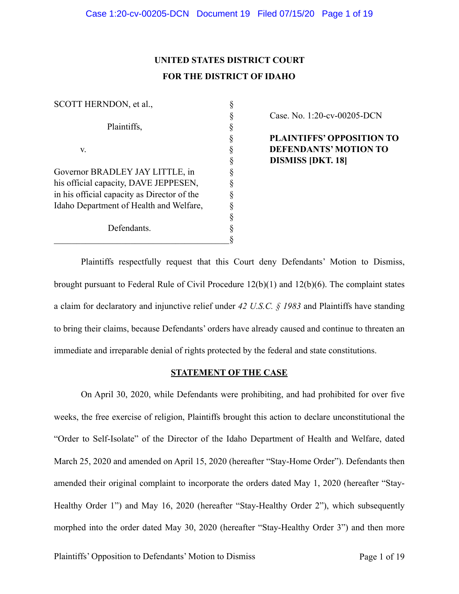# **UNITED STATES DISTRICT COURT FOR THE DISTRICT OF IDAHO**

| SCOTT HERNDON, et al.,                      |  |
|---------------------------------------------|--|
|                                             |  |
| Plaintiffs,                                 |  |
|                                             |  |
| V.                                          |  |
|                                             |  |
| Governor BRADLEY JAY LITTLE, in             |  |
| his official capacity, DAVE JEPPESEN,       |  |
| in his official capacity as Director of the |  |
| Idaho Department of Health and Welfare,     |  |
|                                             |  |
| Defendants.                                 |  |
|                                             |  |

§ Case. No. 1:20-cv-00205-DCN

 § **PLAINTIFFS' OPPOSITION TO DEFENDANTS' MOTION TO** § **DISMISS [DKT. 18]**

 Plaintiffs respectfully request that this Court deny Defendants' Motion to Dismiss, brought pursuant to Federal Rule of Civil Procedure 12(b)(1) and 12(b)(6). The complaint states a claim for declaratory and injunctive relief under *42 U.S.C. § 1983* and Plaintiffs have standing to bring their claims, because Defendants' orders have already caused and continue to threaten an immediate and irreparable denial of rights protected by the federal and state constitutions.

## **STATEMENT OF THE CASE**

 On April 30, 2020, while Defendants were prohibiting, and had prohibited for over five weeks, the free exercise of religion, Plaintiffs brought this action to declare unconstitutional the "Order to Self-Isolate" of the Director of the Idaho Department of Health and Welfare, dated March 25, 2020 and amended on April 15, 2020 (hereafter "Stay-Home Order"). Defendants then amended their original complaint to incorporate the orders dated May 1, 2020 (hereafter "Stay-Healthy Order 1") and May 16, 2020 (hereafter "Stay-Healthy Order 2"), which subsequently morphed into the order dated May 30, 2020 (hereafter "Stay-Healthy Order 3") and then more

Plaintiffs' Opposition to Defendants' Motion to Dismiss Page 1 of 19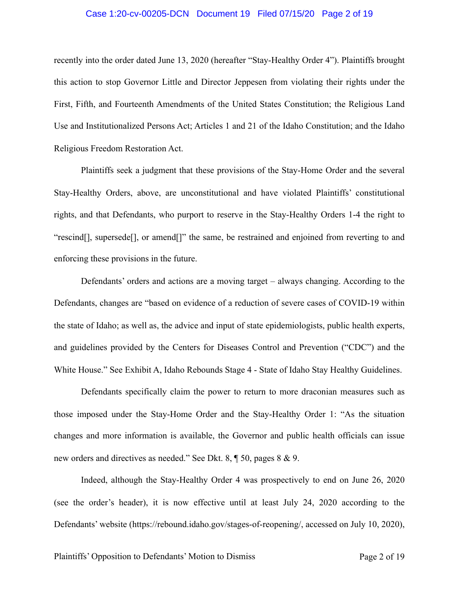#### Case 1:20-cv-00205-DCN Document 19 Filed 07/15/20 Page 2 of 19

recently into the order dated June 13, 2020 (hereafter "Stay-Healthy Order 4"). Plaintiffs brought this action to stop Governor Little and Director Jeppesen from violating their rights under the First, Fifth, and Fourteenth Amendments of the United States Constitution; the Religious Land Use and Institutionalized Persons Act; Articles 1 and 21 of the Idaho Constitution; and the Idaho Religious Freedom Restoration Act.

 Plaintiffs seek a judgment that these provisions of the Stay-Home Order and the several Stay-Healthy Orders, above, are unconstitutional and have violated Plaintiffs' constitutional rights, and that Defendants, who purport to reserve in the Stay-Healthy Orders 1-4 the right to "rescind[], supersede[], or amend[]" the same, be restrained and enjoined from reverting to and enforcing these provisions in the future.

 Defendants' orders and actions are a moving target – always changing. According to the Defendants, changes are "based on evidence of a reduction of severe cases of COVID-19 within the state of Idaho; as well as, the advice and input of state epidemiologists, public health experts, and guidelines provided by the Centers for Diseases Control and Prevention ("CDC") and the White House." See Exhibit A, Idaho Rebounds Stage 4 - State of Idaho Stay Healthy Guidelines.

 Defendants specifically claim the power to return to more draconian measures such as those imposed under the Stay-Home Order and the Stay-Healthy Order 1: "As the situation changes and more information is available, the Governor and public health officials can issue new orders and directives as needed." See Dkt. 8, ¶ 50, pages 8 & 9.

 Indeed, although the Stay-Healthy Order 4 was prospectively to end on June 26, 2020 (see the order's header), it is now effective until at least July 24, 2020 according to the Defendants' website [\(https://rebound.idaho.gov/stages-of-reopening/,](https://rebound.idaho.gov/stages-of-reopening/) accessed on July 10, 2020),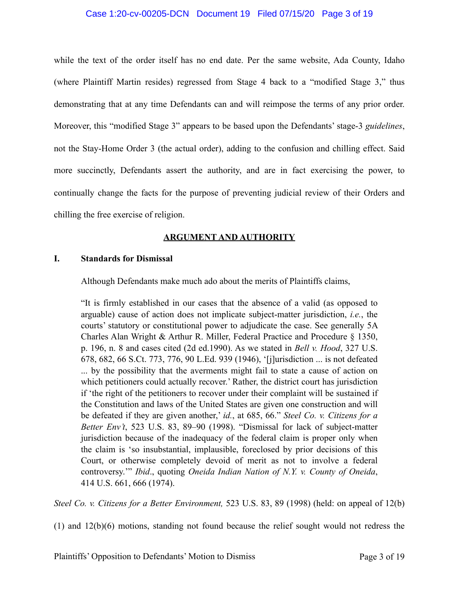#### Case 1:20-cv-00205-DCN Document 19 Filed 07/15/20 Page 3 of 19

while the text of the order itself has no end date. Per the same website, Ada County, Idaho (where Plaintiff Martin resides) regressed from Stage 4 back to a "modified Stage 3," thus demonstrating that at any time Defendants can and will reimpose the terms of any prior order. Moreover, this "modified Stage 3" appears to be based upon the Defendants' stage-3 *guidelines*, not the Stay-Home Order 3 (the actual order), adding to the confusion and chilling effect. Said more succinctly, Defendants assert the authority, and are in fact exercising the power, to continually change the facts for the purpose of preventing judicial review of their Orders and chilling the free exercise of religion.

# **ARGUMENT AND AUTHORITY**

## **I. Standards for Dismissal**

Although Defendants make much ado about the merits of Plaintiffs claims,

"It is firmly established in our cases that the absence of a valid (as opposed to arguable) cause of action does not implicate subject-matter jurisdiction, *i.e.*, the courts' statutory or constitutional power to adjudicate the case. See generally 5A Charles Alan Wright & Arthur R. Miller, Federal Practice and Procedure § 1350, p. 196, n. 8 and cases cited (2d ed.1990). As we stated in *Bell v. Hood*, 327 U.S. 678, 682, 66 S.Ct. 773, 776, 90 L.Ed. 939 (1946), '[j]urisdiction ... is not defeated ... by the possibility that the averments might fail to state a cause of action on which petitioners could actually recover.' Rather, the district court has jurisdiction if 'the right of the petitioners to recover under their complaint will be sustained if the Constitution and laws of the United States are given one construction and will be defeated if they are given another,' *id.*, at 685, 66." *Steel Co. v. Citizens for a Better Env't*, 523 U.S. 83, 89–90 (1998). "Dismissal for lack of subject-matter jurisdiction because of the inadequacy of the federal claim is proper only when the claim is 'so insubstantial, implausible, foreclosed by prior decisions of this Court, or otherwise completely devoid of merit as not to involve a federal controversy.'" *Ibid*., quoting *Oneida Indian Nation of N.Y. v. County of Oneida*, 414 U.S. 661, 666 (1974).

*Steel Co. v. Citizens for a Better Environment,* 523 U.S. 83, 89 (1998) (held: on appeal of 12(b)

(1) and 12(b)(6) motions, standing not found because the relief sought would not redress the

Plaintiffs' Opposition to Defendants' Motion to Dismiss Page 3 of 19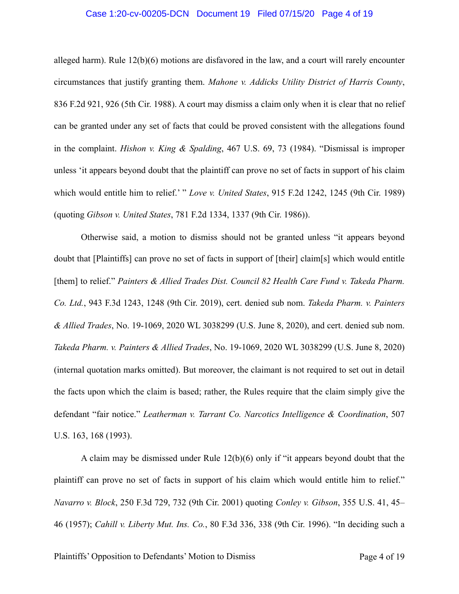#### Case 1:20-cv-00205-DCN Document 19 Filed 07/15/20 Page 4 of 19

alleged harm). Rule  $12(b)(6)$  motions are disfavored in the law, and a court will rarely encounter circumstances that justify granting them. *Mahone v. Addicks Utility District of Harris County*, 836 F.2d 921, 926 (5th Cir. 1988). A court may dismiss a claim only when it is clear that no relief can be granted under any set of facts that could be proved consistent with the allegations found in the complaint. *Hishon v. King & Spalding*, 467 U.S. 69, 73 (1984). "Dismissal is improper unless 'it appears beyond doubt that the plaintiff can prove no set of facts in support of his claim which would entitle him to relief.' " *Love v. United States*, 915 F.2d 1242, 1245 (9th Cir. 1989) (quoting *Gibson v. United States*, 781 F.2d 1334, 1337 (9th Cir. 1986)).

 Otherwise said, a motion to dismiss should not be granted unless "it appears beyond doubt that [Plaintiffs] can prove no set of facts in support of [their] claim[s] which would entitle [them] to relief." *Painters & Allied Trades Dist. Council 82 Health Care Fund v. Takeda Pharm. Co. Ltd.*, 943 F.3d 1243, 1248 (9th Cir. 2019), cert. denied sub nom. *Takeda Pharm. v. Painters & Allied Trades*, No. 19-1069, 2020 WL 3038299 (U.S. June 8, 2020), and cert. denied sub nom. *Takeda Pharm. v. Painters & Allied Trades*, No. 19-1069, 2020 WL 3038299 (U.S. June 8, 2020) (internal quotation marks omitted). But moreover, the claimant is not required to set out in detail the facts upon which the claim is based; rather, the Rules require that the claim simply give the defendant "fair notice." *Leatherman v. Tarrant Co. Narcotics Intelligence & Coordination*, 507 U.S. 163, 168 (1993).

 A claim may be dismissed under Rule 12(b)(6) only if "it appears beyond doubt that the plaintiff can prove no set of facts in support of his claim which would entitle him to relief." *Navarro v. Block*, 250 F.3d 729, 732 (9th Cir. 2001) quoting *Conley v. Gibson*, 355 U.S. 41, 45– 46 (1957); *Cahill v. Liberty Mut. Ins. Co.*, 80 F.3d 336, 338 (9th Cir. 1996). "In deciding such a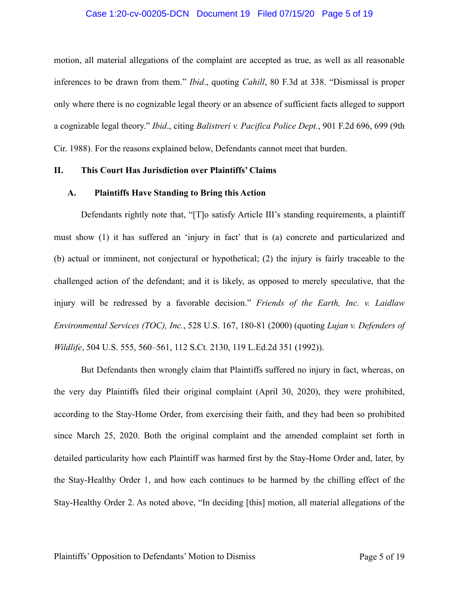#### Case 1:20-cv-00205-DCN Document 19 Filed 07/15/20 Page 5 of 19

motion, all material allegations of the complaint are accepted as true, as well as all reasonable inferences to be drawn from them." *Ibid*., quoting *Cahill*, 80 F.3d at 338. "Dismissal is proper only where there is no cognizable legal theory or an absence of sufficient facts alleged to support a cognizable legal theory." *Ibid*., citing *Balistreri v. Pacifica Police Dept.*, 901 F.2d 696, 699 (9th Cir. 1988). For the reasons explained below, Defendants cannot meet that burden.

#### **II. This Court Has Jurisdiction over Plaintiffs' Claims**

#### **A. Plaintiffs Have Standing to Bring this Action**

 Defendants rightly note that, "[T]o satisfy Article III's standing requirements, a plaintiff must show (1) it has suffered an 'injury in fact' that is (a) concrete and particularized and (b) actual or imminent, not conjectural or hypothetical; (2) the injury is fairly traceable to the challenged action of the defendant; and it is likely, as opposed to merely speculative, that the injury will be redressed by a favorable decision." *Friends of the Earth, Inc. v. Laidlaw Environmental Services (TOC), Inc.*, 528 U.S. 167, 180-81 (2000) (quoting *Lujan v. Defenders of Wildlife*, 504 U.S. 555, 560–561, 112 S.Ct. 2130, 119 L.Ed.2d 351 (1992)).

 But Defendants then wrongly claim that Plaintiffs suffered no injury in fact, whereas, on the very day Plaintiffs filed their original complaint (April 30, 2020), they were prohibited, according to the Stay-Home Order, from exercising their faith, and they had been so prohibited since March 25, 2020. Both the original complaint and the amended complaint set forth in detailed particularity how each Plaintiff was harmed first by the Stay-Home Order and, later, by the Stay-Healthy Order 1, and how each continues to be harmed by the chilling effect of the Stay-Healthy Order 2. As noted above, "In deciding [this] motion, all material allegations of the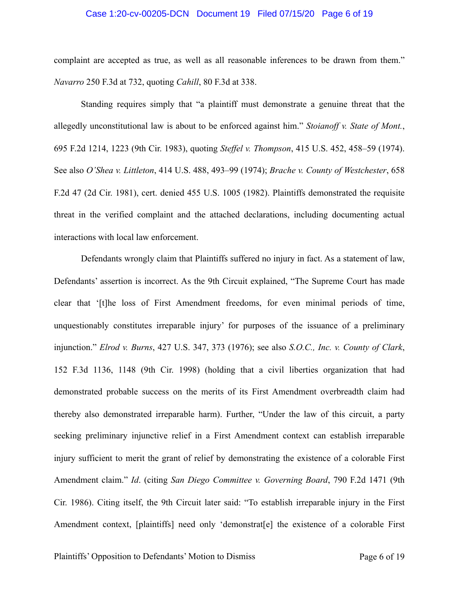#### Case 1:20-cv-00205-DCN Document 19 Filed 07/15/20 Page 6 of 19

complaint are accepted as true, as well as all reasonable inferences to be drawn from them." *Navarro* 250 F.3d at 732, quoting *Cahill*, 80 F.3d at 338.

 Standing requires simply that "a plaintiff must demonstrate a genuine threat that the allegedly unconstitutional law is about to be enforced against him." *Stoianoff v. State of Mont.*, 695 F.2d 1214, 1223 (9th Cir. 1983), quoting *Steffel v. Thompson*, 415 U.S. 452, 458–59 (1974). See also *O'Shea v. Littleton*, 414 U.S. 488, 493–99 (1974); *Brache v. County of Westchester*, 658 F.2d 47 (2d Cir. 1981), cert. denied 455 U.S. 1005 (1982). Plaintiffs demonstrated the requisite threat in the verified complaint and the attached declarations, including documenting actual interactions with local law enforcement.

 Defendants wrongly claim that Plaintiffs suffered no injury in fact. As a statement of law, Defendants' assertion is incorrect. As the 9th Circuit explained, "The Supreme Court has made clear that '[t]he loss of First Amendment freedoms, for even minimal periods of time, unquestionably constitutes irreparable injury' for purposes of the issuance of a preliminary injunction." *Elrod v. Burns*, 427 U.S. 347, 373 (1976); see also *S.O.C., Inc. v. County of Clark*, 152 F.3d 1136, 1148 (9th Cir. 1998) (holding that a civil liberties organization that had demonstrated probable success on the merits of its First Amendment overbreadth claim had thereby also demonstrated irreparable harm). Further, "Under the law of this circuit, a party seeking preliminary injunctive relief in a First Amendment context can establish irreparable injury sufficient to merit the grant of relief by demonstrating the existence of a colorable First Amendment claim." *Id*. (citing *San Diego Committee v. Governing Board*, 790 F.2d 1471 (9th Cir. 1986). Citing itself, the 9th Circuit later said: "To establish irreparable injury in the First Amendment context, [plaintiffs] need only 'demonstrat[e] the existence of a colorable First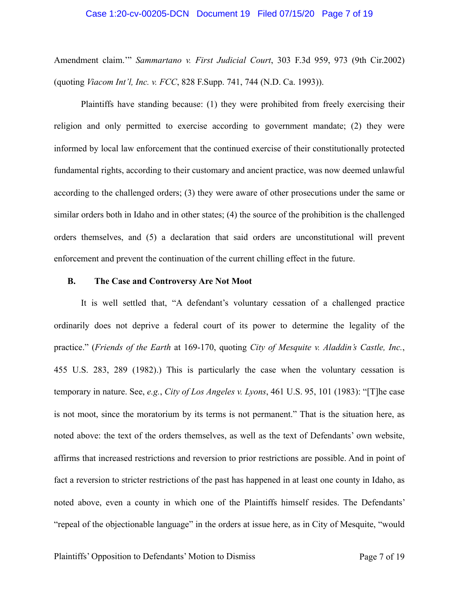#### Case 1:20-cv-00205-DCN Document 19 Filed 07/15/20 Page 7 of 19

Amendment claim.'" *Sammartano v. First Judicial Court*, 303 F.3d 959, 973 (9th Cir.2002) (quoting *Viacom Int'l, Inc. v. FCC*, 828 F.Supp. 741, 744 (N.D. Ca. 1993)).

 Plaintiffs have standing because: (1) they were prohibited from freely exercising their religion and only permitted to exercise according to government mandate; (2) they were informed by local law enforcement that the continued exercise of their constitutionally protected fundamental rights, according to their customary and ancient practice, was now deemed unlawful according to the challenged orders; (3) they were aware of other prosecutions under the same or similar orders both in Idaho and in other states; (4) the source of the prohibition is the challenged orders themselves, and (5) a declaration that said orders are unconstitutional will prevent enforcement and prevent the continuation of the current chilling effect in the future.

#### **B. The Case and Controversy Are Not Moot**

 It is well settled that, "A defendant's voluntary cessation of a challenged practice ordinarily does not deprive a federal court of its power to determine the legality of the practice." (*Friends of the Earth* at 169-170, quoting *City of Mesquite v. Aladdin's Castle, Inc.*, 455 U.S. 283, 289 (1982).) This is particularly the case when the voluntary cessation is temporary in nature. See, *e.g.*, *City of Los Angeles v. Lyons*, 461 U.S. 95, 101 (1983): "[T]he case is not moot, since the moratorium by its terms is not permanent." That is the situation here, as noted above: the text of the orders themselves, as well as the text of Defendants' own website, affirms that increased restrictions and reversion to prior restrictions are possible. And in point of fact a reversion to stricter restrictions of the past has happened in at least one county in Idaho, as noted above, even a county in which one of the Plaintiffs himself resides. The Defendants' "repeal of the objectionable language" in the orders at issue here, as in City of Mesquite, "would

Plaintiffs' Opposition to Defendants' Motion to Dismiss Page 7 of 19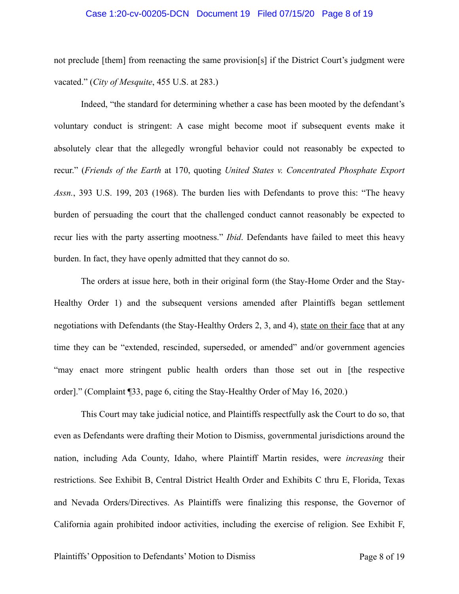#### Case 1:20-cv-00205-DCN Document 19 Filed 07/15/20 Page 8 of 19

not preclude [them] from reenacting the same provision[s] if the District Court's judgment were vacated." (*City of Mesquite*, 455 U.S. at 283.)

 Indeed, "the standard for determining whether a case has been mooted by the defendant's voluntary conduct is stringent: A case might become moot if subsequent events make it absolutely clear that the allegedly wrongful behavior could not reasonably be expected to recur." (*Friends of the Earth* at 170, quoting *United States v. Concentrated Phosphate Export Assn.*, 393 U.S. 199, 203 (1968). The burden lies with Defendants to prove this: "The heavy burden of persuading the court that the challenged conduct cannot reasonably be expected to recur lies with the party asserting mootness." *Ibid*. Defendants have failed to meet this heavy burden. In fact, they have openly admitted that they cannot do so.

 The orders at issue here, both in their original form (the Stay-Home Order and the Stay-Healthy Order 1) and the subsequent versions amended after Plaintiffs began settlement negotiations with Defendants (the Stay-Healthy Orders 2, 3, and 4), state on their face that at any time they can be "extended, rescinded, superseded, or amended" and/or government agencies "may enact more stringent public health orders than those set out in [the respective order]." (Complaint ¶33, page 6, citing the Stay-Healthy Order of May 16, 2020.)

 This Court may take judicial notice, and Plaintiffs respectfully ask the Court to do so, that even as Defendants were drafting their Motion to Dismiss, governmental jurisdictions around the nation, including Ada County, Idaho, where Plaintiff Martin resides, were *increasing* their restrictions. See Exhibit B, Central District Health Order and Exhibits C thru E, Florida, Texas and Nevada Orders/Directives. As Plaintiffs were finalizing this response, the Governor of California again prohibited indoor activities, including the exercise of religion. See Exhibit F,

Plaintiffs' Opposition to Defendants' Motion to Dismiss Page 8 of 19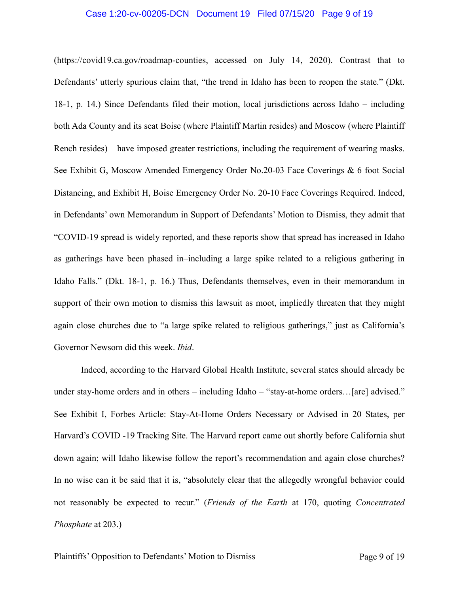#### Case 1:20-cv-00205-DCN Document 19 Filed 07/15/20 Page 9 of 19

(https://covid19.ca.gov/roadmap-counties, accessed on July 14, 2020). Contrast that to Defendants' utterly spurious claim that, "the trend in Idaho has been to reopen the state." (Dkt. 18-1, p. 14.) Since Defendants filed their motion, local jurisdictions across Idaho – including both Ada County and its seat Boise (where Plaintiff Martin resides) and Moscow (where Plaintiff Rench resides) – have imposed greater restrictions, including the requirement of wearing masks. See Exhibit G, Moscow Amended Emergency Order No.20-03 Face Coverings & 6 foot Social Distancing, and Exhibit H, Boise Emergency Order No. 20-10 Face Coverings Required. Indeed, in Defendants' own Memorandum in Support of Defendants' Motion to Dismiss, they admit that "COVID-19 spread is widely reported, and these reports show that spread has increased in Idaho as gatherings have been phased in–including a large spike related to a religious gathering in Idaho Falls." (Dkt. 18-1, p. 16.) Thus, Defendants themselves, even in their memorandum in support of their own motion to dismiss this lawsuit as moot, impliedly threaten that they might again close churches due to "a large spike related to religious gatherings," just as California's Governor Newsom did this week. *Ibid*.

 Indeed, according to the Harvard Global Health Institute, several states should already be under stay-home orders and in others – including Idaho – "stay-at-home orders...[are] advised." See Exhibit I, Forbes Article: Stay-At-Home Orders Necessary or Advised in 20 States, per Harvard's COVID -19 Tracking Site. The Harvard report came out shortly before California shut down again; will Idaho likewise follow the report's recommendation and again close churches? In no wise can it be said that it is, "absolutely clear that the allegedly wrongful behavior could not reasonably be expected to recur." (*Friends of the Earth* at 170, quoting *Concentrated Phosphate* at 203.)

Plaintiffs' Opposition to Defendants' Motion to Dismiss Page 9 of 19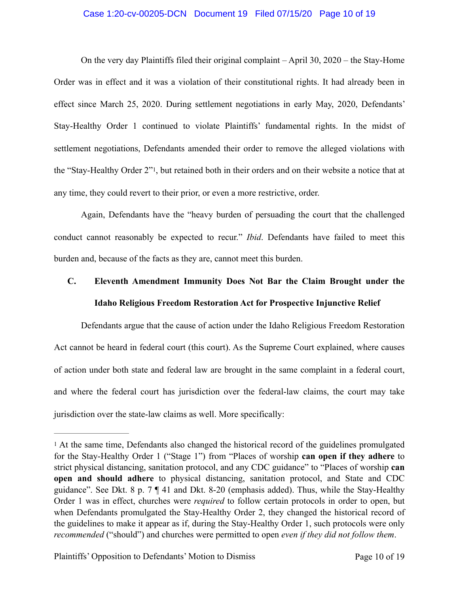#### Case 1:20-cv-00205-DCN Document 19 Filed 07/15/20 Page 10 of 19

 On the very day Plaintiffs filed their original complaint – April 30, 2020 – the Stay-Home Order was in effect and it was a violation of their constitutional rights. It had already been in effect since March 25, 2020. During settlement negotiations in early May, 2020, Defendants' Stay-Healthy Order 1 continued to violate Plaintiffs' fundamental rights. In the midst of settlement negotiations, Defendants amended their order to remove the alleged violations with the "Stay-Healthy Order 2"1, but retained both in their orders and on their website a notice that at any time, they could revert to their prior, or even a more restrictive, order.

 Again, Defendants have the "heavy burden of persuading the court that the challenged conduct cannot reasonably be expected to recur." *Ibid*. Defendants have failed to meet this burden and, because of the facts as they are, cannot meet this burden.

# **C. Eleventh Amendment Immunity Does Not Bar the Claim Brought under the Idaho Religious Freedom Restoration Act for Prospective Injunctive Relief**

 Defendants argue that the cause of action under the Idaho Religious Freedom Restoration Act cannot be heard in federal court (this court). As the Supreme Court explained, where causes of action under both state and federal law are brought in the same complaint in a federal court, and where the federal court has jurisdiction over the federal-law claims, the court may take jurisdiction over the state-law claims as well. More specifically:

Plaintiffs' Opposition to Defendants' Motion to Dismiss Page 10 of 19

<sup>1</sup> At the same time, Defendants also changed the historical record of the guidelines promulgated for the Stay-Healthy Order 1 ("Stage 1") from "Places of worship **can open if they adhere** to strict physical distancing, sanitation protocol, and any CDC guidance" to "Places of worship **can open and should adhere** to physical distancing, sanitation protocol, and State and CDC guidance". See Dkt. 8 p. 7 ¶ 41 and Dkt. 8-20 (emphasis added). Thus, while the Stay-Healthy Order 1 was in effect, churches were *required* to follow certain protocols in order to open, but when Defendants promulgated the Stay-Healthy Order 2, they changed the historical record of the guidelines to make it appear as if, during the Stay-Healthy Order 1, such protocols were only *recommended* ("should") and churches were permitted to open *even if they did not follow them*.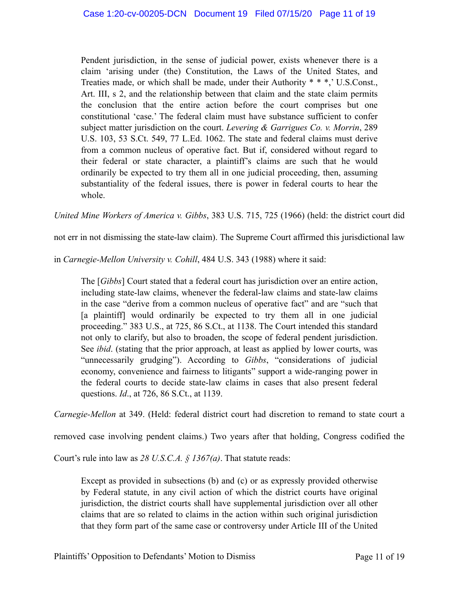Pendent jurisdiction, in the sense of judicial power, exists whenever there is a claim 'arising under (the) Constitution, the Laws of the United States, and Treaties made, or which shall be made, under their Authority \* \* \*,' U.S.Const., Art. III, s 2, and the relationship between that claim and the state claim permits the conclusion that the entire action before the court comprises but one constitutional 'case.' The federal claim must have substance sufficient to confer subject matter jurisdiction on the court. *Levering & Garrigues Co. v. Morrin*, 289 U.S. 103, 53 S.Ct. 549, 77 L.Ed. 1062. The state and federal claims must derive from a common nucleus of operative fact. But if, considered without regard to their federal or state character, a plaintiff's claims are such that he would ordinarily be expected to try them all in one judicial proceeding, then, assuming substantiality of the federal issues, there is power in federal courts to hear the whole.

*United Mine Workers of America v. Gibbs*, 383 U.S. 715, 725 (1966) (held: the district court did

not err in not dismissing the state-law claim). The Supreme Court affirmed this jurisdictional law

in *Carnegie-Mellon University v. Cohill*, 484 U.S. 343 (1988) where it said:

The [*Gibbs*] Court stated that a federal court has jurisdiction over an entire action, including state-law claims, whenever the federal-law claims and state-law claims in the case "derive from a common nucleus of operative fact" and are "such that [a plaintiff] would ordinarily be expected to try them all in one judicial proceeding." 383 U.S., at 725, 86 S.Ct., at 1138. The Court intended this standard not only to clarify, but also to broaden, the scope of federal pendent jurisdiction. See *ibid*. (stating that the prior approach, at least as applied by lower courts, was "unnecessarily grudging"). According to *Gibbs*, "considerations of judicial economy, convenience and fairness to litigants" support a wide-ranging power in the federal courts to decide state-law claims in cases that also present federal questions. *Id*., at 726, 86 S.Ct., at 1139.

*Carnegie-Mellon* at 349. (Held: federal district court had discretion to remand to state court a

removed case involving pendent claims.) Two years after that holding, Congress codified the

Court's rule into law as *28 U.S.C.A. § 1367(a)*. That statute reads:

Except as provided in subsections (b) and (c) or as expressly provided otherwise by Federal statute, in any civil action of which the district courts have original jurisdiction, the district courts shall have supplemental jurisdiction over all other claims that are so related to claims in the action within such original jurisdiction that they form part of the same case or controversy under Article III of the United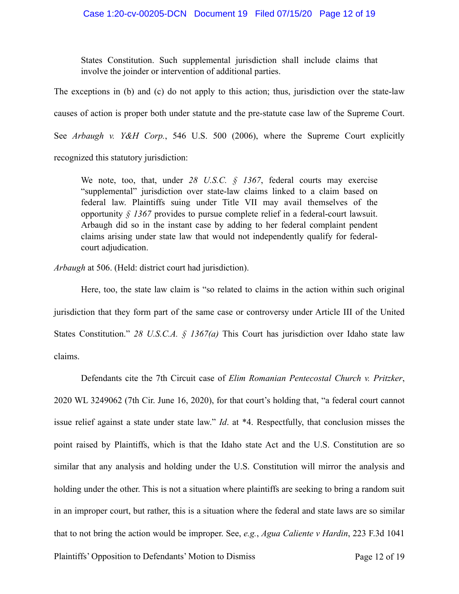States Constitution. Such supplemental jurisdiction shall include claims that involve the joinder or intervention of additional parties.

The exceptions in (b) and (c) do not apply to this action; thus, jurisdiction over the state-law causes of action is proper both under statute and the pre-statute case law of the Supreme Court. See *Arbaugh v. Y&H Corp.*, 546 U.S. 500 (2006), where the Supreme Court explicitly recognized this statutory jurisdiction:

We note, too, that, under *28 U.S.C. § 1367*, federal courts may exercise "supplemental" jurisdiction over state-law claims linked to a claim based on federal law. Plaintiffs suing under Title VII may avail themselves of the opportunity *§ 1367* provides to pursue complete relief in a federal-court lawsuit. Arbaugh did so in the instant case by adding to her federal complaint pendent claims arising under state law that would not independently qualify for federalcourt adjudication.

*Arbaugh* at 506. (Held: district court had jurisdiction).

 Here, too, the state law claim is "so related to claims in the action within such original jurisdiction that they form part of the same case or controversy under Article III of the United States Constitution." *28 U.S.C.A. § 1367(a)* This Court has jurisdiction over Idaho state law claims.

 Defendants cite the 7th Circuit case of *Elim Romanian Pentecostal Church v. Pritzker*, 2020 WL 3249062 (7th Cir. June 16, 2020), for that court's holding that, "a federal court cannot issue relief against a state under state law." *Id*. at \*4. Respectfully, that conclusion misses the point raised by Plaintiffs, which is that the Idaho state Act and the U.S. Constitution are so similar that any analysis and holding under the U.S. Constitution will mirror the analysis and holding under the other. This is not a situation where plaintiffs are seeking to bring a random suit in an improper court, but rather, this is a situation where the federal and state laws are so similar that to not bring the action would be improper. See, *e.g.*, *Agua Caliente v Hardin*, 223 F.3d 1041

Plaintiffs' Opposition to Defendants' Motion to Dismiss Page 12 of 19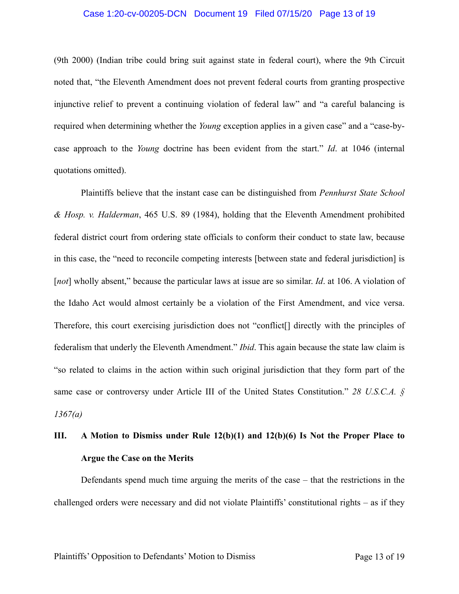#### Case 1:20-cv-00205-DCN Document 19 Filed 07/15/20 Page 13 of 19

(9th 2000) (Indian tribe could bring suit against state in federal court), where the 9th Circuit noted that, "the Eleventh Amendment does not prevent federal courts from granting prospective injunctive relief to prevent a continuing violation of federal law" and "a careful balancing is required when determining whether the *Young* exception applies in a given case" and a "case-bycase approach to the *Young* doctrine has been evident from the start." *Id*. at 1046 (internal quotations omitted).

 Plaintiffs believe that the instant case can be distinguished from *Pennhurst State School & Hosp. v. Halderman*, 465 U.S. 89 (1984), holding that the Eleventh Amendment prohibited federal district court from ordering state officials to conform their conduct to state law, because in this case, the "need to reconcile competing interests [between state and federal jurisdiction] is [*not*] wholly absent," because the particular laws at issue are so similar. *Id*. at 106. A violation of the Idaho Act would almost certainly be a violation of the First Amendment, and vice versa. Therefore, this court exercising jurisdiction does not "conflict[] directly with the principles of federalism that underly the Eleventh Amendment." *Ibid*. This again because the state law claim is "so related to claims in the action within such original jurisdiction that they form part of the same case or controversy under Article III of the United States Constitution." *28 U.S.C.A. § 1367(a)*

# **III. A Motion to Dismiss under Rule 12(b)(1) and 12(b)(6) Is Not the Proper Place to Argue the Case on the Merits**

 Defendants spend much time arguing the merits of the case – that the restrictions in the challenged orders were necessary and did not violate Plaintiffs' constitutional rights – as if they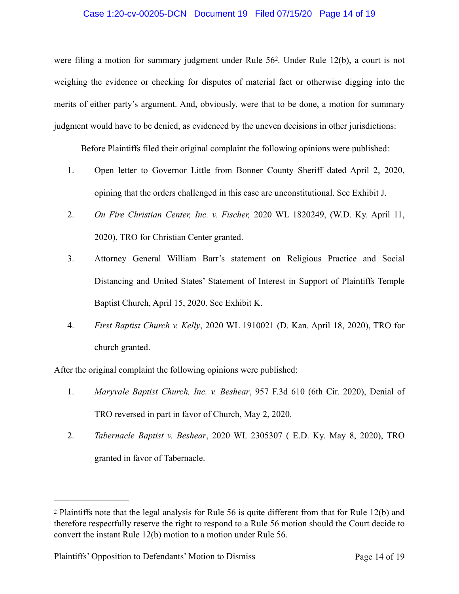#### Case 1:20-cv-00205-DCN Document 19 Filed 07/15/20 Page 14 of 19

were filing a motion for summary judgment under Rule 56<sup>2</sup>. Under Rule 12(b), a court is not weighing the evidence or checking for disputes of material fact or otherwise digging into the merits of either party's argument. And, obviously, were that to be done, a motion for summary judgment would have to be denied, as evidenced by the uneven decisions in other jurisdictions:

Before Plaintiffs filed their original complaint the following opinions were published:

- 1. Open letter to Governor Little from Bonner County Sheriff dated April 2, 2020, opining that the orders challenged in this case are unconstitutional. See Exhibit J.
- 2. *On Fire Christian Center, Inc. v. Fischer,* 2020 WL 1820249, (W.D. Ky. April 11, 2020), TRO for Christian Center granted.
- 3. Attorney General William Barr's statement on Religious Practice and Social Distancing and United States' Statement of Interest in Support of Plaintiffs Temple Baptist Church, April 15, 2020. See Exhibit K.
- 4. *First Baptist Church v. Kelly*, 2020 WL 1910021 (D. Kan. April 18, 2020), TRO for church granted.

After the original complaint the following opinions were published:

- 1. *Maryvale Baptist Church, Inc. v. Beshear*, 957 F.3d 610 (6th Cir. 2020), Denial of TRO reversed in part in favor of Church, May 2, 2020.
- 2. *Tabernacle Baptist v. Beshear*, 2020 WL 2305307 ( E.D. Ky. May 8, 2020), TRO granted in favor of Tabernacle.

<sup>2</sup> Plaintiffs note that the legal analysis for Rule 56 is quite different from that for Rule 12(b) and therefore respectfully reserve the right to respond to a Rule 56 motion should the Court decide to convert the instant Rule 12(b) motion to a motion under Rule 56.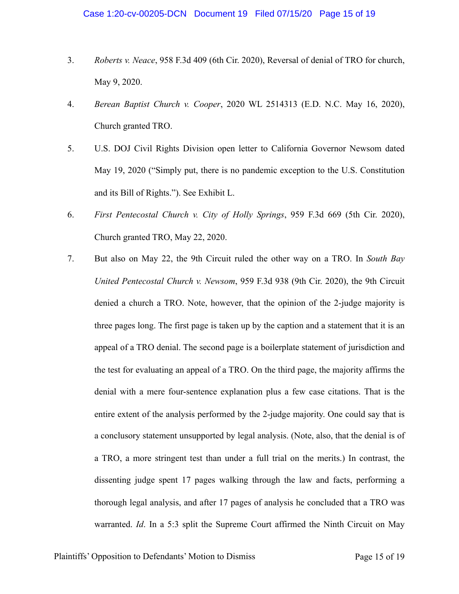- 3. *Roberts v. Neace*, 958 F.3d 409 (6th Cir. 2020), Reversal of denial of TRO for church, May 9, 2020.
- 4. *Berean Baptist Church v. Cooper*, 2020 WL 2514313 (E.D. N.C. May 16, 2020), Church granted TRO.
- 5. U.S. DOJ Civil Rights Division open letter to California Governor Newsom dated May 19, 2020 ("Simply put, there is no pandemic exception to the U.S. Constitution and its Bill of Rights."). See Exhibit L.
- 6. *First Pentecostal Church v. City of Holly Springs*, 959 F.3d 669 (5th Cir. 2020), Church granted TRO, May 22, 2020.
- 7. But also on May 22, the 9th Circuit ruled the other way on a TRO. In *South Bay United Pentecostal Church v. Newsom*, 959 F.3d 938 (9th Cir. 2020), the 9th Circuit denied a church a TRO. Note, however, that the opinion of the 2-judge majority is three pages long. The first page is taken up by the caption and a statement that it is an appeal of a TRO denial. The second page is a boilerplate statement of jurisdiction and the test for evaluating an appeal of a TRO. On the third page, the majority affirms the denial with a mere four-sentence explanation plus a few case citations. That is the entire extent of the analysis performed by the 2-judge majority. One could say that is a conclusory statement unsupported by legal analysis. (Note, also, that the denial is of a TRO, a more stringent test than under a full trial on the merits.) In contrast, the dissenting judge spent 17 pages walking through the law and facts, performing a thorough legal analysis, and after 17 pages of analysis he concluded that a TRO was warranted. *Id*. In a 5:3 split the Supreme Court affirmed the Ninth Circuit on May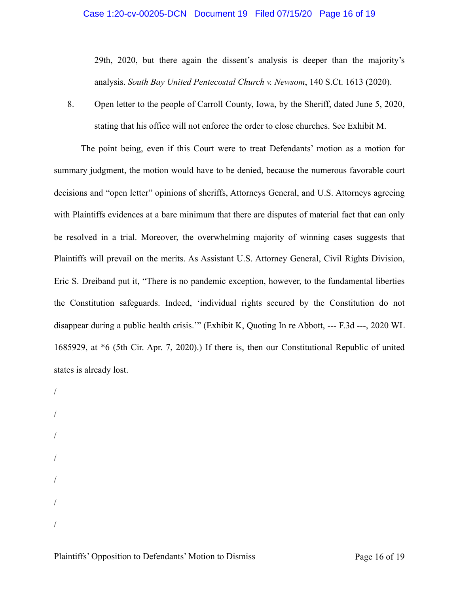#### Case 1:20-cv-00205-DCN Document 19 Filed 07/15/20 Page 16 of 19

29th, 2020, but there again the dissent's analysis is deeper than the majority's analysis. *South Bay United Pentecostal Church v. Newsom*, 140 S.Ct. 1613 (2020).

8. Open letter to the people of Carroll County, Iowa, by the Sheriff, dated June 5, 2020, stating that his office will not enforce the order to close churches. See Exhibit M.

 The point being, even if this Court were to treat Defendants' motion as a motion for summary judgment, the motion would have to be denied, because the numerous favorable court decisions and "open letter" opinions of sheriffs, Attorneys General, and U.S. Attorneys agreeing with Plaintiffs evidences at a bare minimum that there are disputes of material fact that can only be resolved in a trial. Moreover, the overwhelming majority of winning cases suggests that Plaintiffs will prevail on the merits. As Assistant U.S. Attorney General, Civil Rights Division, Eric S. Dreiband put it, "There is no pandemic exception, however, to the fundamental liberties the Constitution safeguards. Indeed, 'individual rights secured by the Constitution do not disappear during a public health crisis.'" (Exhibit K, Quoting In re Abbott, --- F.3d ---, 2020 WL 1685929, at \*6 (5th Cir. Apr. 7, 2020).) If there is, then our Constitutional Republic of united states is already lost.

/ / / / / / /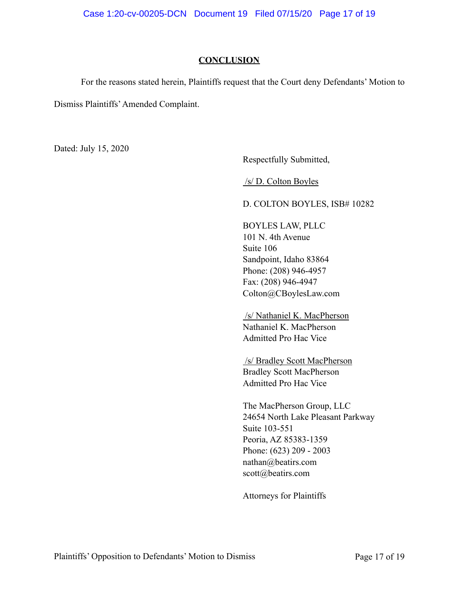## **CONCLUSION**

 For the reasons stated herein, Plaintiffs request that the Court deny Defendants' Motion to Dismiss Plaintiffs' Amended Complaint.

Dated: July 15, 2020

Respectfully Submitted,

/s/ D. Colton Boyles

D. COLTON BOYLES, ISB# 10282

BOYLES LAW, PLLC 101 N. 4th Avenue Suite 106 Sandpoint, Idaho 83864 Phone: (208) 946-4957 Fax: (208) 946-4947 Colton@CBoylesLaw.com

 /s/ Nathaniel K. MacPherson Nathaniel K. MacPherson Admitted Pro Hac Vice

 /s/ Bradley Scott MacPherson Bradley Scott MacPherson Admitted Pro Hac Vice

The MacPherson Group, LLC 24654 North Lake Pleasant Parkway Suite 103-551 Peoria, AZ 85383-1359 Phone: (623) 209 - 2003 nathan@beatirs.com scott@beatirs.com

Attorneys for Plaintiffs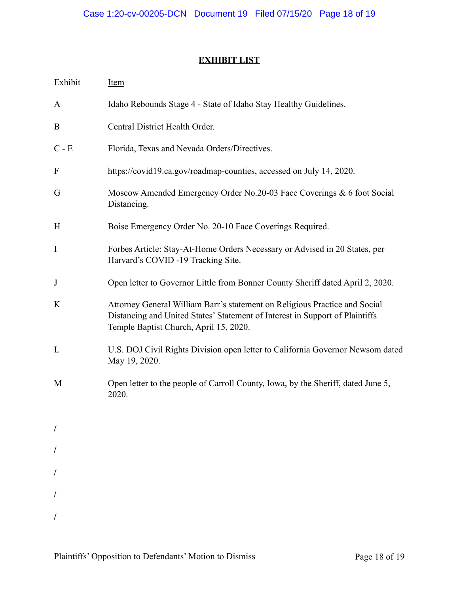# **EXHIBIT LIST**

| Exhibit     | <u>Item</u>                                                                                                                                                                                          |
|-------------|------------------------------------------------------------------------------------------------------------------------------------------------------------------------------------------------------|
| A           | Idaho Rebounds Stage 4 - State of Idaho Stay Healthy Guidelines.                                                                                                                                     |
| B           | Central District Health Order.                                                                                                                                                                       |
| $C - E$     | Florida, Texas and Nevada Orders/Directives.                                                                                                                                                         |
| $\Gamma$    | https://covid19.ca.gov/roadmap-counties, accessed on July 14, 2020.                                                                                                                                  |
| G           | Moscow Amended Emergency Order No.20-03 Face Coverings & 6 foot Social<br>Distancing.                                                                                                                |
| H           | Boise Emergency Order No. 20-10 Face Coverings Required.                                                                                                                                             |
| $\mathbf I$ | Forbes Article: Stay-At-Home Orders Necessary or Advised in 20 States, per<br>Harvard's COVID -19 Tracking Site.                                                                                     |
| J           | Open letter to Governor Little from Bonner County Sheriff dated April 2, 2020.                                                                                                                       |
| K           | Attorney General William Barr's statement on Religious Practice and Social<br>Distancing and United States' Statement of Interest in Support of Plaintiffs<br>Temple Baptist Church, April 15, 2020. |
| L           | U.S. DOJ Civil Rights Division open letter to California Governor Newsom dated<br>May 19, 2020.                                                                                                      |
| M           | Open letter to the people of Carroll County, Iowa, by the Sheriff, dated June 5,<br>2020.                                                                                                            |
|             |                                                                                                                                                                                                      |
|             |                                                                                                                                                                                                      |
|             |                                                                                                                                                                                                      |
|             |                                                                                                                                                                                                      |
|             |                                                                                                                                                                                                      |